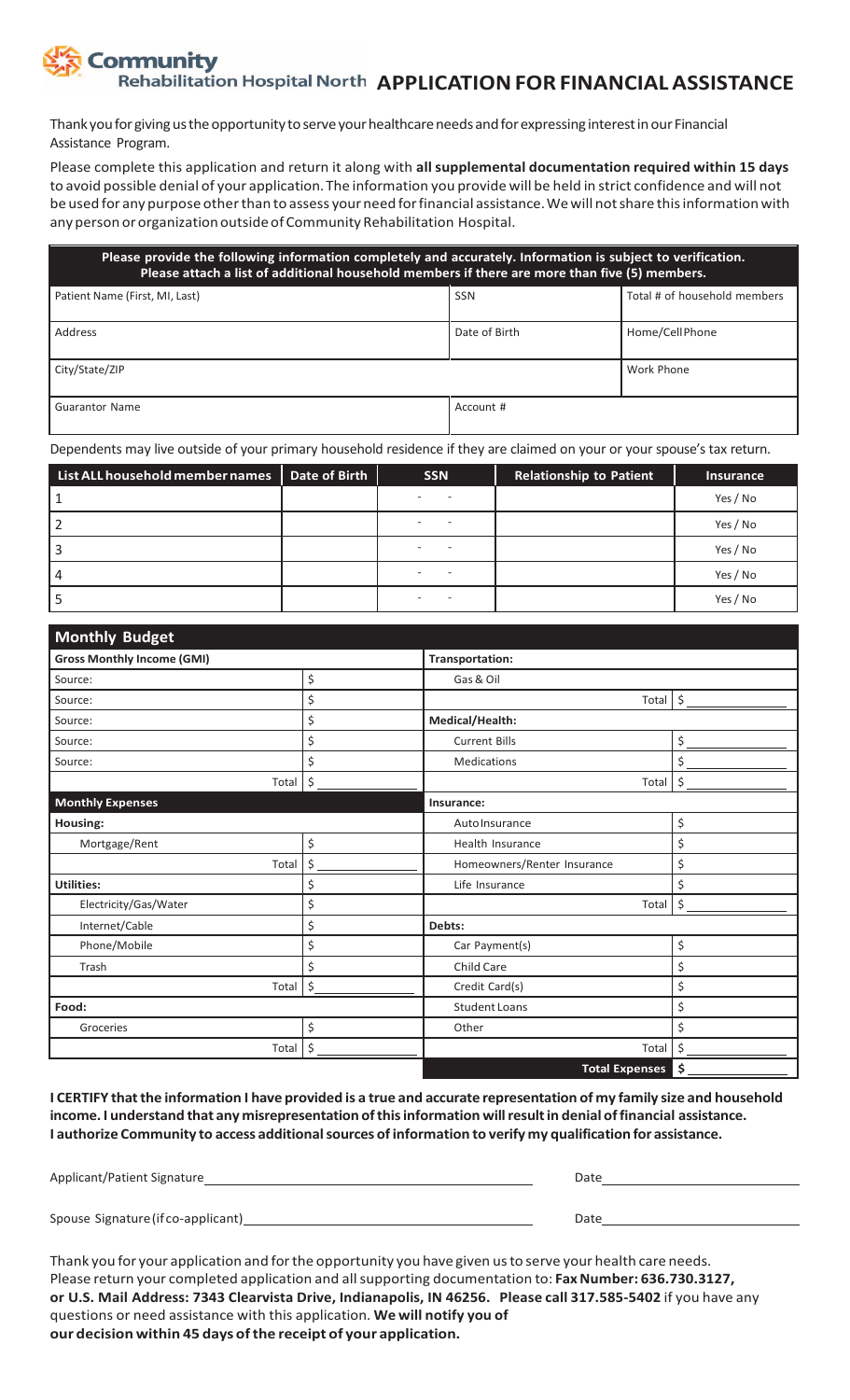# **ommunity Rehabilitation Hospital North APPLICATION FOR FINANCIAL ASSISTANCE**

Thank you for giving us the opportunity to serve your healthcare needs and for expressing interest in our Financial Assistance Program.

Please complete this application and return it along with **all supplemental documentation required within 15 days** to avoid possible denial of your application.The information you provide will be held in strict confidence and will not be used for any purpose otherthan to assess your need forfinancial assistance.Wewill notshare thisinformation with any person or organization outside of Community Rehabilitation Hospital.

| Please provide the following information completely and accurately. Information is subject to verification.<br>Please attach a list of additional household members if there are more than five (5) members. |               |                              |  |  |
|--------------------------------------------------------------------------------------------------------------------------------------------------------------------------------------------------------------|---------------|------------------------------|--|--|
| Patient Name (First, MI, Last)                                                                                                                                                                               | <b>SSN</b>    | Total # of household members |  |  |
| Address                                                                                                                                                                                                      | Date of Birth | Home/CellPhone               |  |  |
| City/State/ZIP                                                                                                                                                                                               |               | Work Phone                   |  |  |
| <b>Guarantor Name</b>                                                                                                                                                                                        | Account #     |                              |  |  |

Dependents may live outside of your primary household residence if they are claimed on your or your spouse's tax return.

| List ALL household member names | Date of Birth | <b>SSN</b> | <b>Relationship to Patient</b> | <b>Insurance</b> |
|---------------------------------|---------------|------------|--------------------------------|------------------|
|                                 |               |            |                                | Yes / No         |
|                                 |               |            |                                | Yes / No         |
|                                 |               |            |                                | Yes / No         |
| 4                               |               |            |                                | Yes / No         |
|                                 |               |            |                                | Yes / No         |

| <b>Monthly Budget</b>             |         |                             |               |  |
|-----------------------------------|---------|-----------------------------|---------------|--|
| <b>Gross Monthly Income (GMI)</b> |         | <b>Transportation:</b>      |               |  |
| Source:                           | \$      | Gas & Oil                   |               |  |
| Source:                           | \$      | Total                       | $\frac{1}{2}$ |  |
| Source:                           | \$      | Medical/Health:             |               |  |
| Source:                           | \$      | <b>Current Bills</b>        | \$            |  |
| Source:                           | \$      | Medications                 | \$            |  |
| Total                             | $\zeta$ | Total                       | \$            |  |
| <b>Monthly Expenses</b>           |         | Insurance:                  |               |  |
| Housing:                          |         | Auto Insurance              | \$            |  |
| Mortgage/Rent                     | \$      | Health Insurance            | \$            |  |
| Total                             | \$      | Homeowners/Renter Insurance | \$            |  |
| <b>Utilities:</b>                 | \$      | Life Insurance              | \$            |  |
| Electricity/Gas/Water             | \$      | Total                       | \$            |  |
| Internet/Cable                    | \$      | Debts:                      |               |  |
| Phone/Mobile                      | \$      | Car Payment(s)              | \$            |  |
| Trash                             | \$      | Child Care                  | \$            |  |
| Total                             | $\zeta$ | Credit Card(s)              | \$            |  |
| Food:                             |         | <b>Student Loans</b>        | \$            |  |
| Groceries                         | \$      | Other                       | \$            |  |
| Total                             | \$      | Total                       | \$            |  |
|                                   |         | <b>Total Expenses</b>       | \$            |  |

I CERTIFY that the information I have provided is a true and accurate representation of my family size and household **income. I understand that any misrepresentation ofthisinformation willresultin denial offinancial assistance. I authorize Community to access additionalsources ofinformation to verify my qualificationfor assistance.**

| Applicant/Patient Signature        | Date |
|------------------------------------|------|
|                                    |      |
| Spouse Signature (if co-applicant) | Date |

Thank you for your application and forthe opportunity you have given usto serve your health care needs. Please return your completed application and all supporting documentation to: Fax Number: 636.730.3127, **or U.S. Mail Address: 7343 Clearvista Drive, Indianapolis, IN 46256. Please call 317.585-5402** if you have any questions or need assistance with this application. **We will notify you of our decision within 45 days ofthe receipt of your application.**